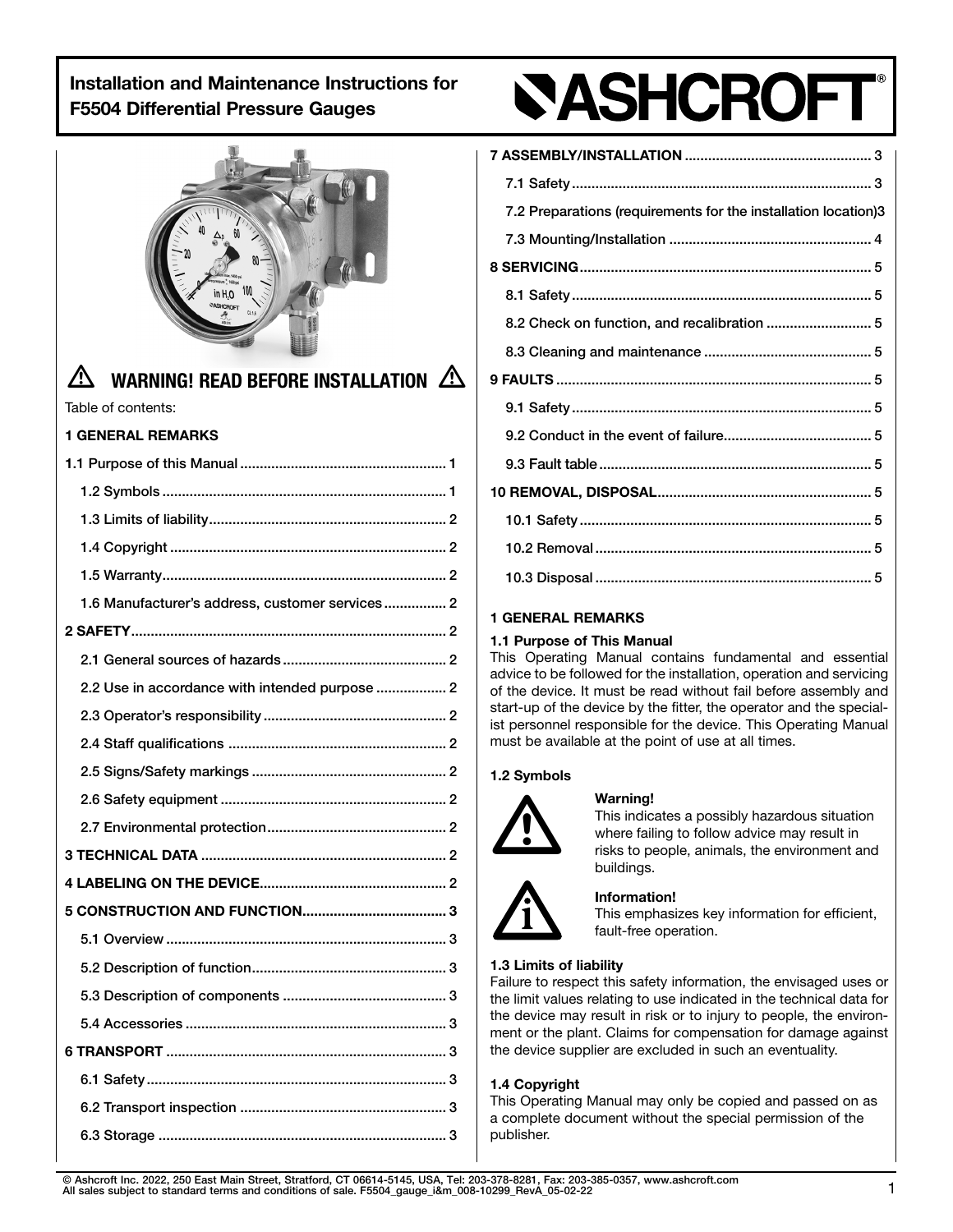

# WARNING! READ BEFORE INSTALLATION  $\triangle$

Table of contents:

# [1 GENERAL REMARKS](file:///Volumes/Marcom%20Data%20Files/Ashcroft%20Bulletins/Ash%20Vertical%20Bulletins/Ash%20Bul%20ALD-1%20(Acid%20Leak%20Detection)-FINAL/ald2_ds1%20FINAL/ald2_ds1%20FINAL%20Folder/%5Cl %22_Toc511989020%22)

|  | 1.6 Manufacturer's address, customer services 2 |  |  |
|--|-------------------------------------------------|--|--|
|  |                                                 |  |  |
|  |                                                 |  |  |
|  | 2.2 Use in accordance with intended purpose  2  |  |  |
|  |                                                 |  |  |
|  |                                                 |  |  |
|  |                                                 |  |  |
|  |                                                 |  |  |
|  |                                                 |  |  |
|  |                                                 |  |  |
|  |                                                 |  |  |
|  |                                                 |  |  |
|  |                                                 |  |  |
|  |                                                 |  |  |
|  |                                                 |  |  |
|  |                                                 |  |  |
|  |                                                 |  |  |
|  |                                                 |  |  |
|  |                                                 |  |  |
|  |                                                 |  |  |
|  |                                                 |  |  |

# **SASHCROFT**

| 7.2 Preparations (requirements for the installation location)3 |  |  |  |
|----------------------------------------------------------------|--|--|--|
|                                                                |  |  |  |
|                                                                |  |  |  |
|                                                                |  |  |  |
|                                                                |  |  |  |
|                                                                |  |  |  |
|                                                                |  |  |  |
|                                                                |  |  |  |
|                                                                |  |  |  |
|                                                                |  |  |  |
|                                                                |  |  |  |
|                                                                |  |  |  |
|                                                                |  |  |  |
|                                                                |  |  |  |
|                                                                |  |  |  |

# 1 GENERAL REMARKS

# 1.1 Purpose of This Manual

This Operating Manual contains fundamental and essential advice to be followed for the installation, operation and servicing of the device. It must be read without fail before assembly and start-up of the device by the fitter, the operator and the specialist personnel responsible for the device. This Operating Manual must be available at the point of use at all times.

# 1.2 Symbols



# Warning!

This indicates a possibly hazardous situation where failing to follow advice may result in risks to people, animals, the environment and buildings.



# Information!

This emphasizes key information for efficient, fault-free operation.

# 1.3 Limits of liability

Failure to respect this safety information, the envisaged uses or the limit values relating to use indicated in the technical data for the device may result in risk or to injury to people, the environment or the plant. Claims for compensation for damage against the device supplier are excluded in such an eventuality.

# 1.4 Copyright

This Operating Manual may only be copied and passed on as a complete document without the special permission of the publisher.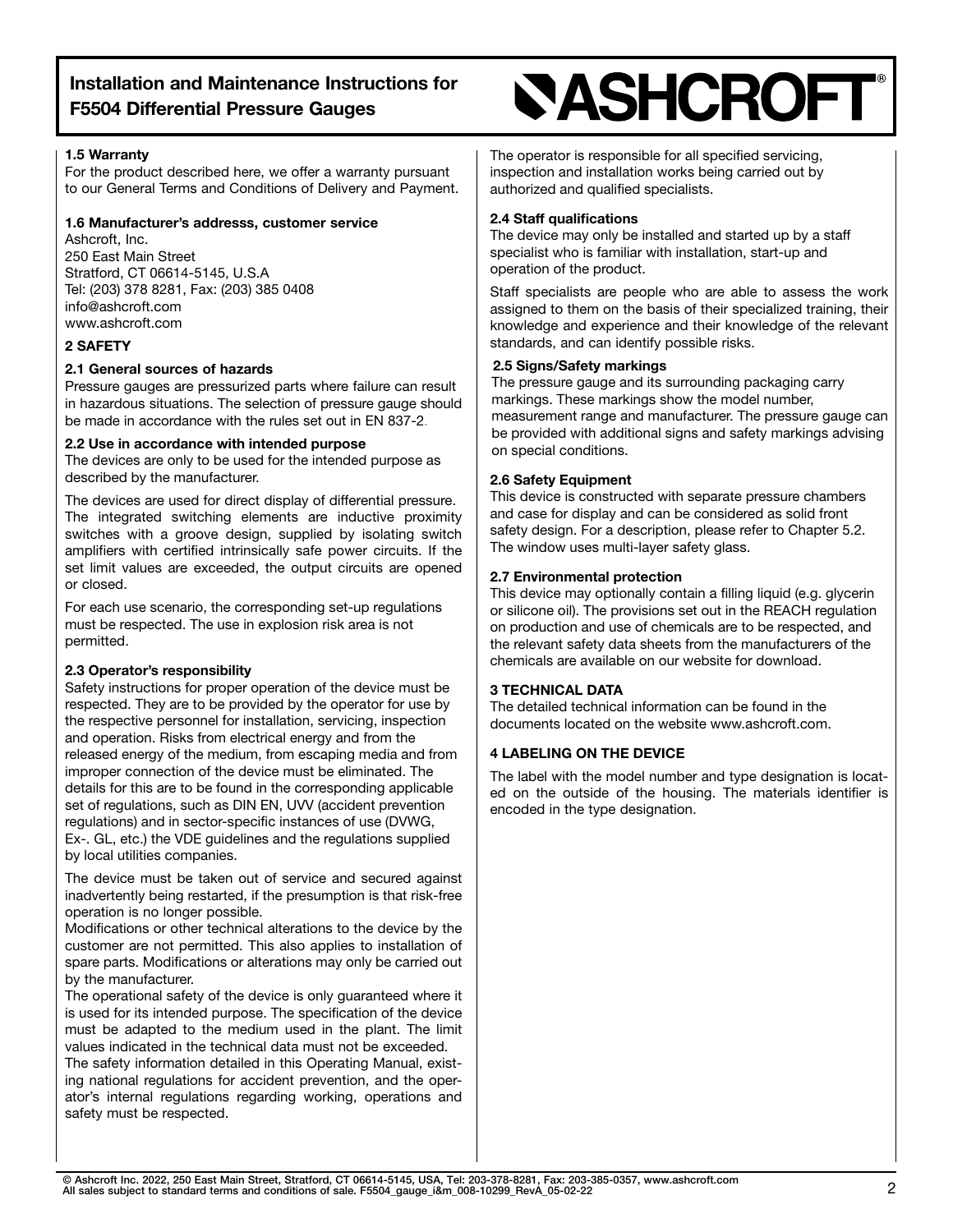# 1.5 Warranty

For the product described here, we offer a warranty pursuant to our General Terms and Conditions of Delivery and Payment.

#### 1.6 Manufacturer's addresss, customer service

Ashcroft, Inc. 250 East Main Street Stratford, CT 06614-5145, U.S.A Tel: (203) 378 8281, Fax: (203) 385 0408 info@ashcroft.com www.ashcroft.com

#### 2 SAFETY

#### 2.1 General sources of hazards

Pressure gauges are pressurized parts where failure can result in hazardous situations. The selection of pressure gauge should be made in accordance with the rules set out in EN 837-2.

### 2.2 Use in accordance with intended purpose

The devices are only to be used for the intended purpose as described by the manufacturer.

The devices are used for direct display of differential pressure. The integrated switching elements are inductive proximity switches with a groove design, supplied by isolating switch amplifiers with certified intrinsically safe power circuits. If the set limit values are exceeded, the output circuits are opened or closed.

For each use scenario, the corresponding set-up regulations must be respected. The use in explosion risk area is not permitted.

#### 2.3 Operator's responsibility

Safety instructions for proper operation of the device must be respected. They are to be provided by the operator for use by the respective personnel for installation, servicing, inspection and operation. Risks from electrical energy and from the released energy of the medium, from escaping media and from improper connection of the device must be eliminated. The details for this are to be found in the corresponding applicable set of regulations, such as DIN EN, UVV (accident prevention regulations) and in sector-specific instances of use (DVWG, Ex-. GL, etc.) the VDE guidelines and the regulations supplied by local utilities companies.

The device must be taken out of service and secured against inadvertently being restarted, if the presumption is that risk-free operation is no longer possible.

Modifications or other technical alterations to the device by the customer are not permitted. This also applies to installation of spare parts. Modifications or alterations may only be carried out by the manufacturer.

The operational safety of the device is only guaranteed where it is used for its intended purpose. The specification of the device must be adapted to the medium used in the plant. The limit values indicated in the technical data must not be exceeded.

The safety information detailed in this Operating Manual, existing national regulations for accident prevention, and the operator's internal regulations regarding working, operations and safety must be respected.

# **SASHCROFT**

The operator is responsible for all specified servicing, inspection and installation works being carried out by authorized and qualified specialists.

#### 2.4 Staff qualifications

The device may only be installed and started up by a staff specialist who is familiar with installation, start-up and operation of the product.

Staff specialists are people who are able to assess the work assigned to them on the basis of their specialized training, their knowledge and experience and their knowledge of the relevant standards, and can identify possible risks.

### 2.5 Signs/Safety markings

The pressure gauge and its surrounding packaging carry markings. These markings show the model number, measurement range and manufacturer. The pressure gauge can be provided with additional signs and safety markings advising on special conditions.

### 2.6 Safety Equipment

This device is constructed with separate pressure chambers and case for display and can be considered as solid front safety design. For a description, please refer to Chapter 5.2. The window uses multi-layer safety glass.

#### 2.7 Environmental protection

This device may optionally contain a filling liquid (e.g. glycerin or silicone oil). The provisions set out in the REACH regulation on production and use of chemicals are to be respected, and the relevant safety data sheets from the manufacturers of the chemicals are available on our website for download.

# 3 TECHNICAL DATA

The detailed technical information can be found in the documents located on the website www.ashcroft.com.

# 4 LABELING ON THE DEVICE

The label with the model number and type designation is located on the outside of the housing. The materials identifier is encoded in the type designation.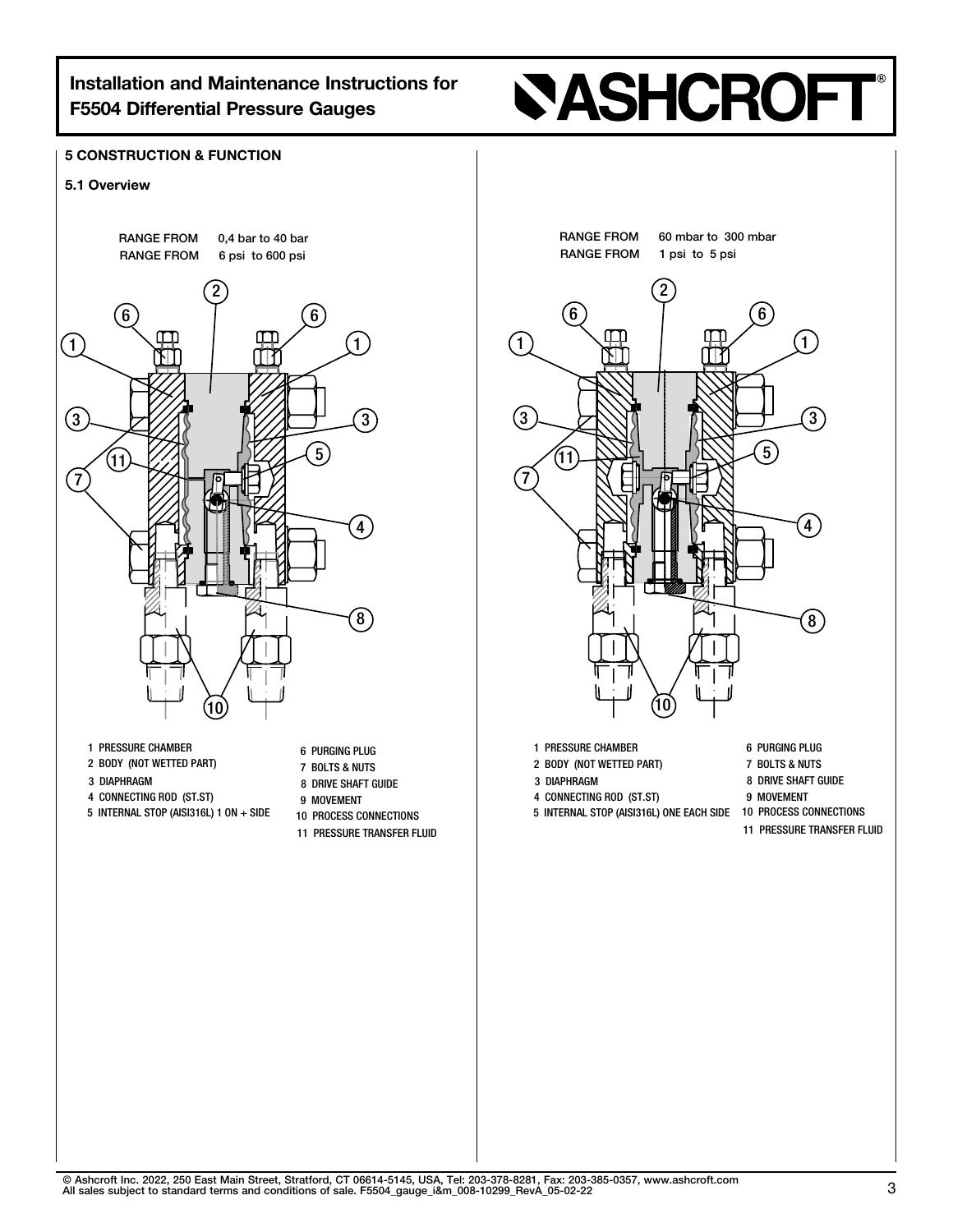5 CONSTRUCTION & FUNCTION

# **SASHCROFT®**



- 1 PRESSURE CHAMBER 1 PRESSURE CHAMBER
- 2 BODY (NOT WETTED PART) 2 BODY (NOT WETTED PART)
- 3 DIAPHRAGM 3 DIAPHRAGM
- 4 CONNECTING ROD (ST.ST) 4 CONNECTING ROD (ST.ST)
- $10$  5 INTERNAL STOP (AISI316L) 1 ON + SIDE  $10$  process connections
- 6 PURGING PLUG 6 PURGING PLUG
- 7 BOLTS & NUTS 7 BOLTS & NUTS
- 8 DRIVE SHAFT GUIDE 8 DRIVE SHAFT GUIDE
- 9 MOVEMENT 9 MOVEMENT
	-
	- 11 PRESSURE TRANSFER FLUID 11 PRESSURE TRANSFER FLUID



- 1 PRESSURE CHAMBER 1 PRESSURE CHAMBER
- 2 BODY (NOT WETTED PART) 2 BODY (NOT WETTED PART)
- 3 DIAPHRAGM
- $\mathbf{A}$

4 CONNECTING ROD (ST.ST) 4 CONNECTING ROD (ST.ST)

- 9 MOVEMENT
- 5 INTERNAL STOP (AISI316L) ONE EACH SIDE 10 PROCESS CONNECTIONS 5 INTERNAL STOP (AISI316L) ONE EACH SIDE 10 PROCESS CONNECTIONS
	- 11 PRESSURE TRANSFER FLUID 11 PRESSURE TRANSFER FLUID

6 PURGING PLUG 6 PURGING PLUG 7 BOLTS & NUTS 7 BOLTS & NUTS

8 DRIVE SHAFT GUIDE 8 DRIVE SHAFT GUIDE

© Ashcroft Inc. 2022, 250 East Main Street, Stratford, CT 06614-5145, USA, Tel: 203-378-8281, Fax: 203-385-0357, www.ashcroft.com<br>All sales subject to standard terms and conditions of sale. F5504\_gauge\_i&m\_008-10299\_RevA\_0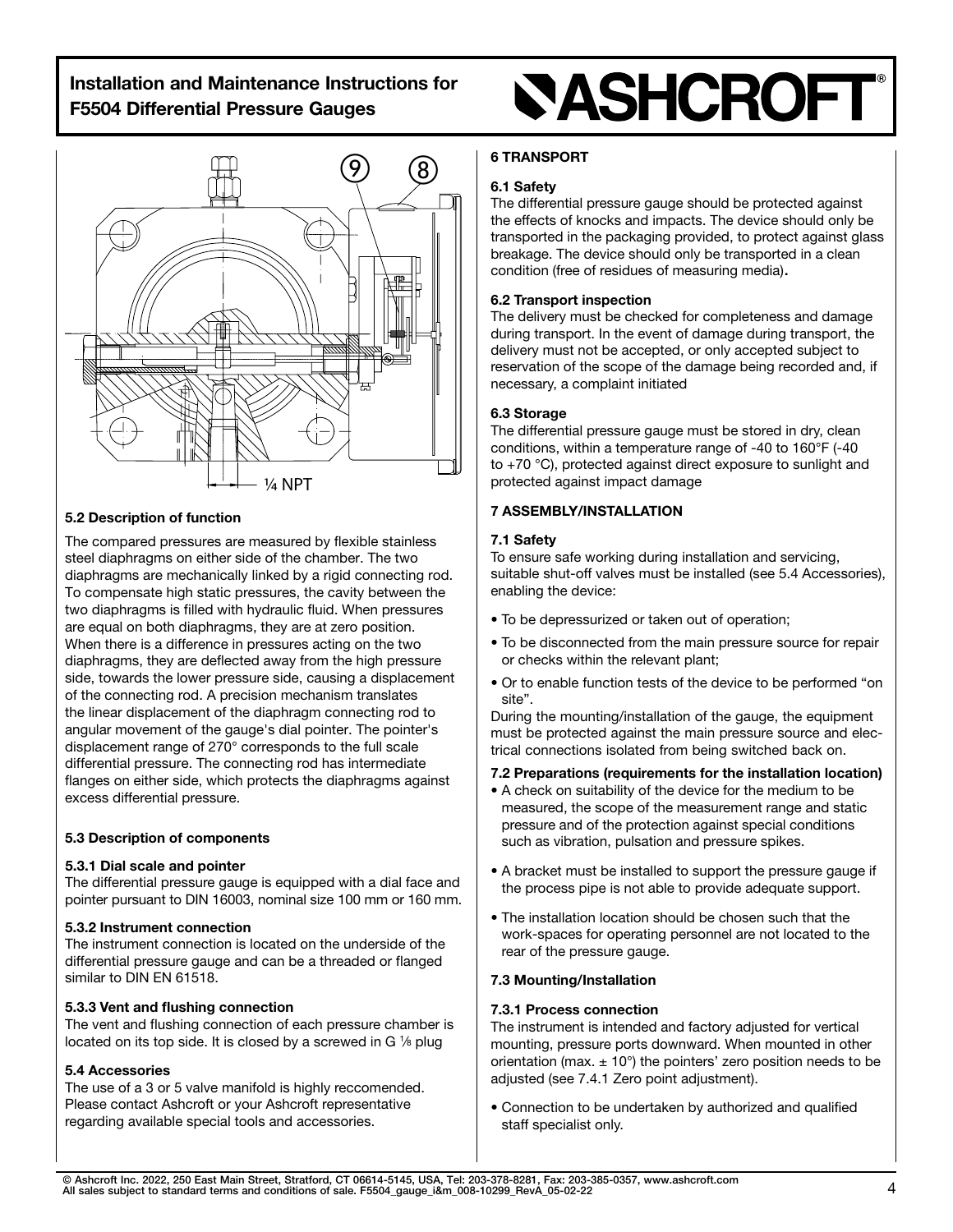

# 5.2 Description of function

The compared pressures are measured by flexible stainless steel diaphragms on either side of the chamber. The two diaphragms are mechanically linked by a rigid connecting rod. To compensate high static pressures, the cavity between the two diaphragms is filled with hydraulic fluid. When pressures are equal on both diaphragms, they are at zero position. When there is a difference in pressures acting on the two diaphragms, they are deflected away from the high pressure side, towards the lower pressure side, causing a displacement of the connecting rod. A precision mechanism translates the linear displacement of the diaphragm connecting rod to angular movement of the gauge's dial pointer. The pointer's displacement range of 270° corresponds to the full scale differential pressure. The connecting rod has intermediate flanges on either side, which protects the diaphragms against excess differential pressure.

# 5.3 Description of components

#### 5.3.1 Dial scale and pointer

The differential pressure gauge is equipped with a dial face and pointer pursuant to DIN 16003, nominal size 100 mm or 160 mm.

#### 5.3.2 Instrument connection

The instrument connection is located on the underside of the differential pressure gauge and can be a threaded or flanged similar to DIN EN 61518.

#### 5.3.3 Vent and flushing connection

The vent and flushing connection of each pressure chamber is located on its top side. It is closed by a screwed in G 1/8 plug

# 5.4 Accessories

The use of a 3 or 5 valve manifold is highly reccomended. Please contact Ashcroft or your Ashcroft representative regarding available special tools and accessories.

# **SASHCROFT®**

# 6 TRANSPORT

### 6.1 Safety

The differential pressure gauge should be protected against the effects of knocks and impacts. The device should only be transported in the packaging provided, to protect against glass breakage. The device should only be transported in a clean condition (free of residues of measuring media).

### 6.2 Transport inspection

The delivery must be checked for completeness and damage during transport. In the event of damage during transport, the delivery must not be accepted, or only accepted subject to reservation of the scope of the damage being recorded and, if necessary, a complaint initiated

#### 6.3 Storage

The differential pressure gauge must be stored in dry, clean conditions, within a temperature range of -40 to 160°F (-40 to +70 °C), protected against direct exposure to sunlight and protected against impact damage

# 7 ASSEMBLY/INSTALLATION

#### 7.1 Safety

To ensure safe working during installation and servicing, suitable shut-off valves must be installed (see 5.4 Accessories), enabling the device:

- To be depressurized or taken out of operation;
- To be disconnected from the main pressure source for repair or checks within the relevant plant;
- Or to enable function tests of the device to be performed "on site".

During the mounting/installation of the gauge, the equipment must be protected against the main pressure source and electrical connections isolated from being switched back on.

#### 7.2 Preparations (requirements for the installation location)

- A check on suitability of the device for the medium to be measured, the scope of the measurement range and static pressure and of the protection against special conditions such as vibration, pulsation and pressure spikes.
- A bracket must be installed to support the pressure gauge if the process pipe is not able to provide adequate support.
- The installation location should be chosen such that the work-spaces for operating personnel are not located to the rear of the pressure gauge.

# 7.3 Mounting/Installation

# 7.3.1 Process connection

The instrument is intended and factory adjusted for vertical mounting, pressure ports downward. When mounted in other orientation (max.  $\pm$  10°) the pointers' zero position needs to be adjusted (see 7.4.1 Zero point adjustment).

• Connection to be undertaken by authorized and qualified staff specialist only.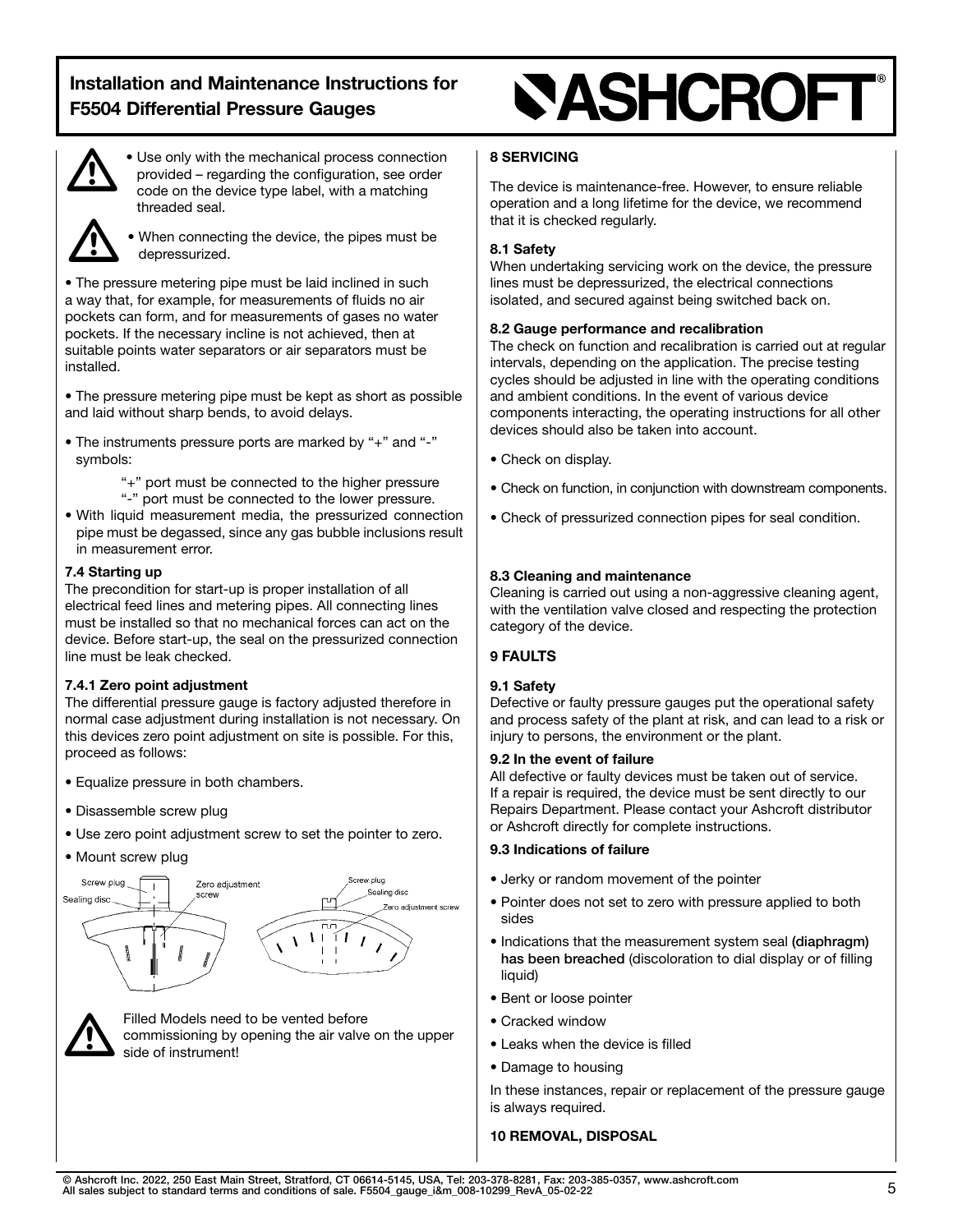

• Use only with the mechanical process connection provided – regarding the configuration, see order code on the device type label, with a matching threaded seal.



When connecting the device, the pipes must be depressurized.

• The pressure metering pipe must be laid inclined in such a way that, for example, for measurements of fluids no air pockets can form, and for measurements of gases no water pockets. If the necessary incline is not achieved, then at suitable points water separators or air separators must be installed.

• The pressure metering pipe must be kept as short as possible and laid without sharp bends, to avoid delays.

- The instruments pressure ports are marked by "+" and "-" symbols:
	- "+" port must be connected to the higher pressure
	- "-" port must be connected to the lower pressure.
- With liquid measurement media, the pressurized connection pipe must be degassed, since any gas bubble inclusions result in measurement error.

# 7.4 Starting up

The precondition for start-up is proper installation of all electrical feed lines and metering pipes. All connecting lines must be installed so that no mechanical forces can act on the device. Before start-up, the seal on the pressurized connection line must be leak checked.

#### 7.4.1 Zero point adjustment

The differential pressure gauge is factory adjusted therefore in normal case adjustment during installation is not necessary. On this devices zero point adjustment on site is possible. For this, proceed as follows:

- Equalize pressure in both chambers.
- Disassemble screw plug
- Use zero point adjustment screw to set the pointer to zero.
- Mount screw plug





Filled Models need to be vented before commissioning by opening the air valve on the upper side of instrument!

# **SASHCROFT**

#### 8 SERVICING

The device is maintenance-free. However, to ensure reliable operation and a long lifetime for the device, we recommend that it is checked regularly.

#### 8.1 Safety

When undertaking servicing work on the device, the pressure lines must be depressurized, the electrical connections isolated, and secured against being switched back on.

#### 8.2 Gauge performance and recalibration

The check on function and recalibration is carried out at regular intervals, depending on the application. The precise testing cycles should be adjusted in line with the operating conditions and ambient conditions. In the event of various device components interacting, the operating instructions for all other devices should also be taken into account.

- Check on display.
- Check on function, in conjunction with downstream components.
- Check of pressurized connection pipes for seal condition.

#### 8.3 Cleaning and maintenance

Cleaning is carried out using a non-aggressive cleaning agent, with the ventilation valve closed and respecting the protection category of the device.

# 9 FAULTS

# 9.1 Safety

Defective or faulty pressure gauges put the operational safety and process safety of the plant at risk, and can lead to a risk or injury to persons, the environment or the plant.

#### 9.2 In the event of failure

All defective or faulty devices must be taken out of service. If a repair is required, the device must be sent directly to our Repairs Department. Please contact your Ashcroft distributor or Ashcroft directly for complete instructions.

#### 9.3 Indications of failure

- Jerky or random movement of the pointer
- Pointer does not set to zero with pressure applied to both sides
- Indications that the measurement system seal (diaphragm) has been breached (discoloration to dial display or of filling liquid)
- Bent or loose pointer
- Cracked window
- Leaks when the device is filled
- Damage to housing

In these instances, repair or replacement of the pressure gauge is always required.

# 10 REMOVAL, DISPOSAL